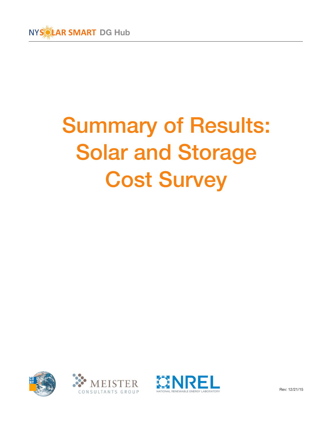

# Summary of Results: Solar and Storage Cost Survey







Rev: 12/21/15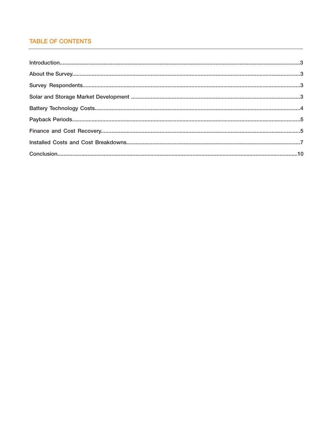# **TABLE OF CONTENTS**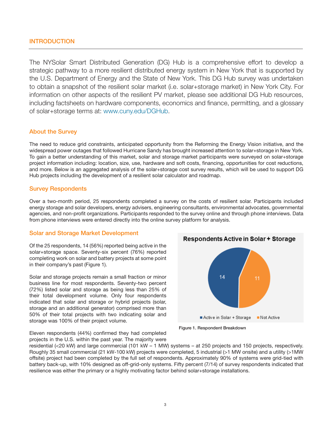The NYSolar Smart Distributed Generation (DG) Hub is a comprehensive effort to develop a strategic pathway to a more resilient distributed energy system in New York that is supported by the U.S. Department of Energy and the State of New York. This DG Hub survey was undertaken to obtain a snapshot of the resilient solar market (i.e. solar+storage market) in New York City. For information on other aspects of the resilient PV market, please see additional DG Hub resources, including factsheets on hardware components, economics and finance, permitting, and a glossary of solar+storage terms at: www.cuny.edu/DGHub.

## About the Survey

The need to reduce grid constraints, anticipated opportunity from the Reforming the Energy Vision initiative, and the widespread power outages that followed Hurricane Sandy has brought increased attention to solar+storage in New York. To gain a better understanding of this market, solar and storage market participants were surveyed on solar+storage project information including: location, size, use, hardware and soft costs, financing, opportunities for cost reductions, and more. Below is an aggregated analysis of the solar+storage cost survey results, which will be used to support DG Hub projects including the development of a resilient solar calculator and roadmap.

### Survey Respondents

Over a two-month period, 25 respondents completed a survey on the costs of resilient solar. Participants included energy storage and solar developers, energy advisers, engineering consultants, environmental advocates, governmental agencies, and non-profit organizations. Participants responded to the survey online and through phone interviews. Data from phone interviews were entered directly into the online survey platform for analysis.

### Solar and Storage Market Development

Of the 25 respondents, 14 (56%) reported being active in the solar+storage space. Seventy-six percent (76%) reported completing work on solar and battery projects at some point in their company's past (Figure 1).

Solar and storage projects remain a small fraction or minor business line for most respondents. Seventy-two percent (72%) listed solar and storage as being less than 25% of their total development volume. Only four respondents indicated that solar and storage or hybrid projects (solar, storage and an additional generator) comprised more than 50% of their total projects with two indicating solar and storage was 100% of their project volume.



Figure 1. Respondent Breakdown

Eleven respondents (44%) confirmed they had completed projects in the U.S. within the past year. The majority were

residential (<20 kW) and large commercial (101 kW – 1 MW) systems – at 250 projects and 150 projects, respectively. Roughly 35 small commercial (21 kW-100 kW) projects were completed, 5 industrial (>1 MW onsite) and a utility (>1MW offsite) project had been completed by the full set of respondents. Approximately 90% of systems were grid-tied with battery back-up, with 10% designed as off-grid-only systems. Fifty percent (7/14) of survey respondents indicated that resilience was either the primary or a highly motivating factor behind solar+storage installations.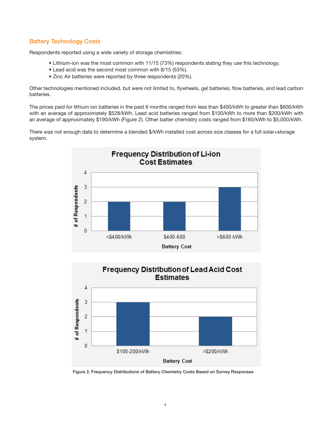# Battery Technology Costs

Respondents reported using a wide variety of storage chemistries:

- Lithium-ion was the most common with 11/15 (73%) respondents stating they use this technology.
- Lead acid was the second most common with 8/15 (53%).
- Zinc Air batteries were reported by three respondents (20%).

Other technologies mentioned included, but were not limited to, flywheels, gel batteries, flow batteries, and lead carbon batteries.

The prices paid for lithium ion batteries in the past 6 months ranged from less than \$400/kWh to greater than \$600/kWh with an average of approximately \$528/kWh. Lead acid batteries ranged from \$100/kWh to more than \$200/kWh with an average of approximately \$190/kWh (Figure 2). Other batter chemistry costs ranged from \$160/kWh to \$5,000/kWh.

There was not enough data to determine a blended \$/kWh installed cost across size classes for a full solar+storage system.





Figure 2. Frequency Distributions of Battery Chemistry Costs Based on Survey Responses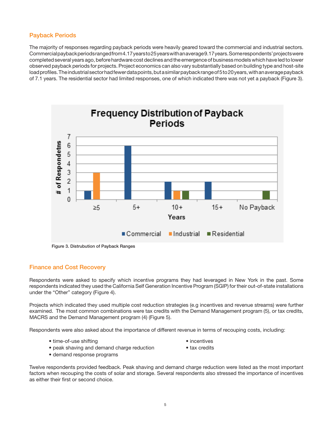### Payback Periods

The majority of responses regarding payback periods were heavily geared toward the commercial and industrial sectors. Commercial payback periods ranged from 4.17 years to 25 years with an average 9.17 years. Some respondents' projects were completed several years ago, before hardware cost declines and the emergence of business models which have led to lower observed payback periods for projects. Project economics can also vary substantially based on building type and host-site load profiles. The industrial sector had fewer data points, but a similar payback range of 5 to 20 years, with an average payback of 7.1 years. The residential sector had limited responses, one of which indicated there was not yet a payback (Figure 3).



# Finance and Cost Recovery

Respondents were asked to specify which incentive programs they had leveraged in New York in the past. Some respondents indicated they used the California Self Generation Incentive Program (SGIP) for their out-of-state installations under the "Other" category (Figure 4).

Projects which indicated they used multiple cost reduction strategies (e.g incentives and revenue streams) were further examined. The most common combinations were tax credits with the Demand Management program (5), or tax credits, MACRS and the Demand Management program (4) (Figure 5).

Respondents were also asked about the importance of different revenue in terms of recouping costs, including:

- time-of-use shifting  $\bullet$  incentives
- 
- peak shaving and demand charge reduction tax credits
- 
- demand response programs
- 
- Twelve respondents provided feedback. Peak shaving and demand charge reduction were listed as the most important factors when recouping the costs of solar and storage. Several respondents also stressed the importance of incentives as either their first or second choice.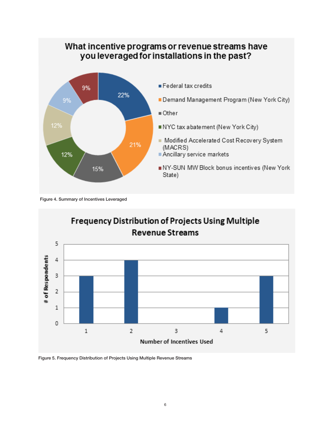# What incentive programs or revenue streams have you leveraged for installations in the past?



- Federal tax credits
- Demand Management Program (New York City)
- Other
- NYC tax abatement (New York City)
- Modified Accelerated Cost Recovery System (MACRS)
- Ancillary service markets
- NY-SUN MW Block bonus incentives (New York State)

Figure 4. Summary of Incentives Leveraged



Figure 5. Frequency Distribution of Projects Using Multiple Revenue Streams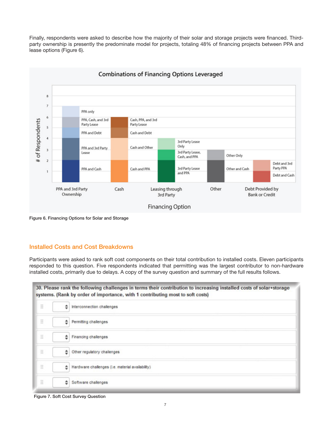Finally, respondents were asked to describe how the majority of their solar and storage projects were financed. Thirdparty ownership is presently the predominate model for projects, totaling 48% of financing projects between PPA and lease options (Figure 6).



Figure 6. Financing Options for Solar and Storage

### Installed Costs and Cost Breakdowns

Participants were asked to rank soft cost components on their total contribution to installed costs. Eleven participants responded to this question. Five respondents indicated that permitting was the largest contributor to non-hardware installed costs, primarily due to delays. A copy of the survey question and summary of the full results follows.

30. Please rank the following challenges in terms their contribution to increasing installed costs of solar+storage systems. (Rank by order of importance, with 1 contributing most to soft costs)

| Ħ |   | hterconnection challenges                        |
|---|---|--------------------------------------------------|
| Ħ |   | Permitting challenges                            |
| Ħ |   | $\leftarrow$ Financing challenges                |
| Ħ | ÷ | Other regulatory challenges                      |
| Ħ |   | Hardware challenges (i.e. material availability) |
| Ħ | ٠ | Software challenges                              |

Figure 7. Soft Cost Survey Question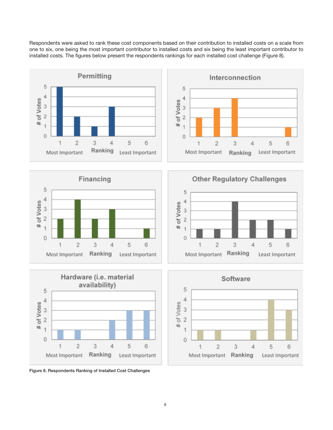Respondents were asked to rank these cost components based on their contribution to installed costs on a scale from one to six, one being the most important contributor to installed costs and six being the least important contributor to installed costs. The figures below present the respondents rankings for each installed cost challenge (Figure 8).















8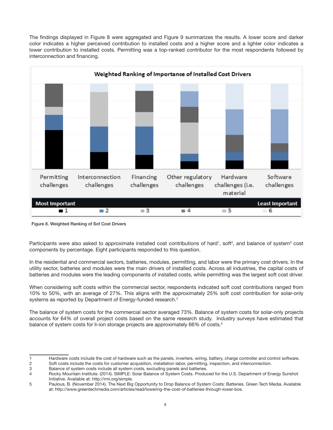



Figure 8. Weighted Ranking of Sof Cost Drivers

Participants were also asked to approximate installed cost contributions of hard<sup>1</sup>, soft<sup>2</sup>, and balance of system<sup>3</sup> cost components by percentage. Eight participants responded to this question.

In the residential and commercial sectors, batteries, modules, permitting, and labor were the primary cost drivers. In the utility sector, batteries and modules were the main drivers of installed costs. Across all industries, the capital costs of batteries and modules were the leading components of installed costs, while permitting was the largest soft cost driver.

When considering soft costs within the commercial sector, respondents indicated soft cost contributions ranged from 10% to 50%, with an average of 27%. This aligns with the approximately 25% soft cost contribution for solar-only systems as reported by Department of Energy-funded research.<sup>4</sup>

The balance of system costs for the commercial sector averaged 73%. Balance of system costs for solar-only projects accounts for 64% of overall project costs based on the same research study. Industry surveys have estimated that balance of system costs for li-ion storage projects are approximately 66% of costs.<sup>5</sup>

<sup>1</sup> Hardware costs include the cost of hardware such as the panels, inverters, wiring, battery, charge controller and control software.

<sup>2</sup> Soft costs include the costs for customer acquisition, installation labor, permitting, inspection, and interconnection.

<sup>3</sup> Balance of system costs include all system costs, excluding panels and batteries.

<sup>4</sup> Rocky Mountain Institute. (2014). SIMPLE: Solar Balance of System Costs. Produced for the U.S. Department of Energy Sunshot Initiative. Available at: http://rmi.org/simple.

<sup>5</sup> Paulous, B. (November 2014). The Next Big Opportunity to Drop Balance of System Costs: Batteries. Green Tech Media. Available at: http://www.greentechmedia.com/articles/read/lowering-the-cost-of-batteries-through-lower-bos.